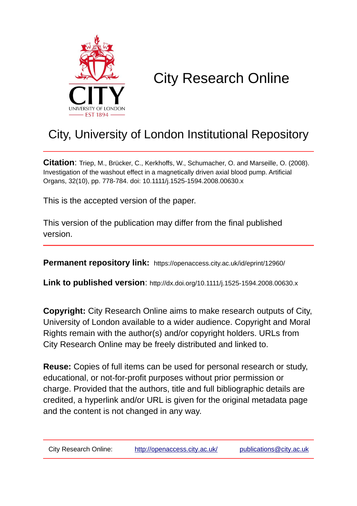

# City Research Online

## City, University of London Institutional Repository

**Citation**: Triep, M., Brücker, C., Kerkhoffs, W., Schumacher, O. and Marseille, O. (2008). Investigation of the washout effect in a magnetically driven axial blood pump. Artificial Organs, 32(10), pp. 778-784. doi: 10.1111/j.1525-1594.2008.00630.x

This is the accepted version of the paper.

This version of the publication may differ from the final published version.

**Permanent repository link:** https://openaccess.city.ac.uk/id/eprint/12960/

**Link to published version**: http://dx.doi.org/10.1111/j.1525-1594.2008.00630.x

**Copyright:** City Research Online aims to make research outputs of City, University of London available to a wider audience. Copyright and Moral Rights remain with the author(s) and/or copyright holders. URLs from City Research Online may be freely distributed and linked to.

**Reuse:** Copies of full items can be used for personal research or study, educational, or not-for-profit purposes without prior permission or charge. Provided that the authors, title and full bibliographic details are credited, a hyperlink and/or URL is given for the original metadata page and the content is not changed in any way.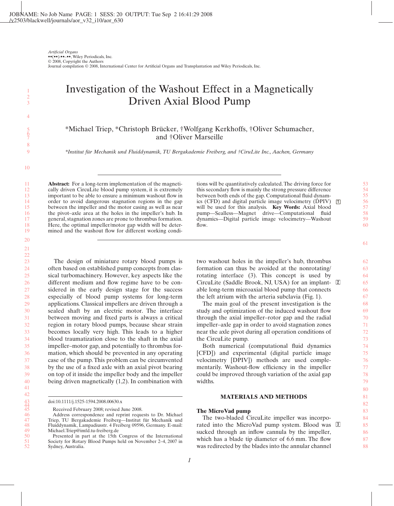*Artificial Organs* ••(••):••–••, Wiley Periodicals, Inc. © 2008, Copyright the Authors Journal compilation © 2008, International Center for Artificial Organs and Transplantation and Wiley Periodicals, Inc.

## Investigation of the Washout Effect in a Magnetically Driven Axial Blood Pump

\*Michael Triep, \*Christoph Brücker, †Wolfgang Kerkhoffs, †Oliver Schumacher, and †Oliver Marseille

*\*Institut für Mechanik und Fluiddynamik, TU Bergakademie Freiberg, and †CiruLite Inc., Aachen, Germany*

**Abstract:** For a long-term implementation of the magnetically driven CircuLite blood pump system, it is extremely important to be able to ensure a minimum washout flow in order to avoid dangerous stagnation regions in the gap between the impeller and the motor casing as well as near the pivot–axle area at the holes in the impeller's hub. In general, stagnation zones are prone to thrombus formation. Here, the optimal impeller/motor gap width will be determined and the washout flow for different working condi-

The design of miniature rotary blood pumps is often based on established pump concepts from classical turbomachinery. However, key aspects like the different medium and flow regime have to be considered in the early design stage for the success especially of blood pump systems for long-term applications. Classical impellers are driven through a sealed shaft by an electric motor. The interface between moving and fixed parts is always a critical region in rotary blood pumps, because shear strain becomes locally very high. This leads to a higher blood traumatization close to the shaft in the axial impeller–motor gap, and potentially to thrombus formation, which should be prevented in any operating case of the pump. This problem can be circumvented by the use of a fixed axle with an axial pivot bearing on top of it inside the impeller body and the impeller being driven magnetically (1,2). In combination with

this secondary flow is mainly the strong pressure difference between both ends of the gap. Computational fluid dynamics (CFD) and digital particle image velocimetry (DPIV) will be used for this analysis. **Key Words:** Axial blood pump—Sealless—Magnet drive—Computational fluid dynamics—Digital particle image velocimetry—Washout flow.

tions will be quantitatively calculated. The driving force for

1**1**

two washout holes in the impeller's hub, thrombus formation can thus be avoided at the nonrotating/ rotating interface (3). This concept is used by CircuLite (Saddle Brook, NJ, USA) for an implant-**2** able long-term microaxial blood pump that connects the left atrium with the arteria subclavia (Fig. 1).

The main goal of the present investigation is the study and optimization of the induced washout flow through the axial impeller–rotor gap and the radial impeller–axle gap in order to avoid stagnation zones near the axle pivot during all operation conditions of the CircuLite pump.

Both numerical (computational fluid dynamics [CFD]) and experimental (digital particle image velocimetry [DPIV]) methods are used complementarily. Washout-flow efficiency in the impeller could be improved through variation of the axial gap widths.

## **MATERIALS AND METHODS**

### **The MicroVad pump**

The two-bladed CircuLite impeller was incorporated into the MicroVad pump system. Blood was **3**sucked through an inflow cannula by the impeller, which has a blade tip diameter of 6.6 mm. The flow was redirected by the blades into the annular channel

doi:10.1111/j.1525-1594.2008.00630.x

Received February 2008; revised June 2008.

Address correspondence and reprint requests to Dr. Michael Triep, TU Bergakademie Freiberg—Institut für Mechanik und Fluiddynamik, Lampadiusstr. 4 Freiberg 09596, Germany. E-mail: Michael.Triep@imfd.tu-freiberg.de

Presented in part at the 15th Congress of the International Society for Rotary Blood Pumps held on November 2–4, 2007 in Sydney, Australia.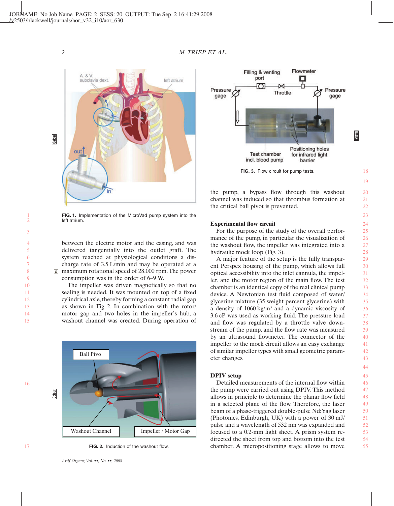*2 M. TRIEP ET AL.*



**FIG. 1.** Implementation of the MicroVad pump system into the left atrium.

between the electric motor and the casing, and was delivered tangentially into the outlet graft. The system reached at physiological conditions a discharge rate of 3.5 L/min and may be operated at a maximum rotational speed of 28.000 rpm. The power 4 **<sup>4</sup>** consumption was in the order of 6–9 W.

> The impeller was driven magnetically so that no sealing is needed. It was mounted on top of a fixed cylindrical axle, thereby forming a constant radial gap as shown in Fig. 2. In combination with the rotor/ motor gap and two holes in the impeller's hub, a washout channel was created. During operation of



**FIG. 2.** Induction of the washout flow.



the pump, a bypass flow through this washout channel was induced so that thrombus formation at the critical ball pivot is prevented.

### **Experimental flow circuit**

For the purpose of the study of the overall performance of the pump, in particular the visualization of the washout flow, the impeller was integrated into a hydraulic mock loop (Fig. 3).

A major feature of the setup is the fully transparent Perspex housing of the pump, which allows full optical accessibility into the inlet cannula, the impeller, and the motor region of the main flow. The test chamber is an identical copy of the real clinical pump device. A Newtonian test fluid composed of water/ glycerine mixture (35 weight percent glycerine) with a density of  $1060 \text{ kg/m}^3$  and a dynamic viscosity of 3.6 cP was used as working fluid. The pressure load and flow was regulated by a throttle valve downstream of the pump, and the flow rate was measured by an ultrasound flowmeter. The connector of the impeller to the mock circuit allows an easy exchange of similar impeller types with small geometric parameter changes. The contribution of the best in the theorem and the theorem and the property and the theorem and the theorem and the theorem and the property of the state of the state of the state of the state of the state of the state of

## **DPIV setup**

Detailed measurements of the internal flow within the pump were carried out using DPIV. This method allows in principle to determine the planar flow field in a selected plane of the flow. Therefore, the laser beam of a phase-triggered double-pulse Nd:Yag laser (Photonics, Edinburgh, UK) with a power of 30 mJ/ pulse and a wavelength of 532 nm was expanded and focused to a 0.2-mm light sheet. A prism system redirected the sheet from top and bottom into the test chamber. A micropositioning stage allows to move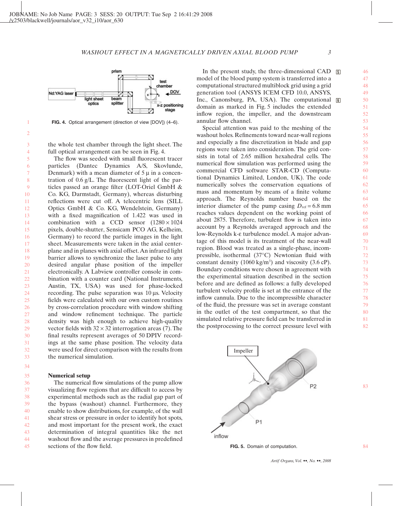*WASHOUT EFFECT IN A MAGNETICALLY DRIVEN AXIAL BLOOD PUMP 3*



**FIG. 4.** Optical arrangement (direction of view [DOV]) (4–6).

the whole test chamber through the light sheet. The full optical arrangement can be seen in Fig. 4.

The flow was seeded with small fluorescent tracer particles (Dantec Dynamics A/S, Skovlunde, Denmark) with a mean diameter of  $5 \mu$  in a concentration of 0.6 g/L. The fluorescent light of the particles passed an orange filter (LOT-Oriel GmbH & Co. KG, Darmstadt, Germany), whereas disturbing reflections were cut off. A telecentric lens (SILL Optics GmbH & Co. KG, Wendelstein, Germany) with a fixed magnification of 1.422 was used in combination with a CCD sensor  $(1280 \times 1024)$ pixels, double-shutter, Sensicam PCO AG, Kelheim, Germany) to record the particle images in the light sheet. Measurements were taken in the axial centerplane and in planes with axial offset.An infrared light barrier allows to synchronize the laser pulse to any desired angular phase position of the impeller electronically. A Labview controller console in combination with a counter card (National Instruments, Austin, TX, USA) was used for phase-locked recording. The pulse separation was  $10 \mu s$ . Velocity fields were calculated with our own custom routines by cross-correlation procedure with window shifting and window refinement technique. The particle density was high enough to achieve high-quality vector fields with  $32 \times 32$  interrogation areas (7). The final results represent averages of 50 DPIV recordings at the same phase position. The velocity data were used for direct comparison with the results from the numerical simulation. 5 6 7 8 9 10 11 12 13 14 15 16 17 18 19 20 21 22 23 24 25 26 27 28 29 30 31 32 33

## **Numerical setup**

34 35

The numerical flow simulations of the pump allow visualizing flow regions that are difficult to access by experimental methods such as the radial gap part of the bypass (washout) channel. Furthermore, they enable to show distributions, for example, of the wall shear stress or pressure in order to identify hot spots, and most important for the present work, the exact determination of integral quantities like the net washout flow and the average pressures in predefined sections of the flow field. 36 37 38 39 40 41 42 43 44 45

In the present study, the three-dimensional CAD 5**5** model of the blood pump system is transferred into a computational structured multiblock grid using a grid generation tool (ANSYS ICEM CFD 10.0, ANSYS, Inc., Canonsburg, PA, USA). The computational domain as marked in Fig. 5 includes the extended inflow region, the impeller, and the downstream annular flow channel. 6**6**

Special attention was paid to the meshing of the washout holes. Refinements toward near-wall regions and especially a fine discretization in blade and gap regions were taken into consideration. The grid consists in total of 2.65 million hexahedral cells. The numerical flow simulation was performed using the commercial CFD software STAR-CD (Computational Dynamics Limited, London, UK). The code numerically solves the conservation equations of mass and momentum by means of a finite volume approach. The Reynolds number based on the interior diameter of the pump casing  $D_{ref} = 6.8$  mm reaches values dependent on the working point of about 2875. Therefore, turbulent flow is taken into account by a Reynolds averaged approach and the low-Reynolds k-e turbulence model. A major advantage of this model is its treatment of the near-wall region. Blood was treated as a single-phase, incompressible, isothermal (37°C) Newtonian fluid with constant density  $(1060 \text{ kg/m}^3)$  and viscosity  $(3.6 \text{ cP})$ . Boundary conditions were chosen in agreement with the experimental situation described in the section before and are defined as follows: a fully developed turbulent velocity profile is set at the entrance of the inflow cannula. Due to the incompressible character of the fluid, the pressure was set in average constant in the outlet of the test compartment, so that the simulated relative pressure field can be transferred in the postprocessing to the correct pressure level with



**FIG. 5.** Domain of computation.

84

*Artif Organs, Vol. ••, No. ••, 2008*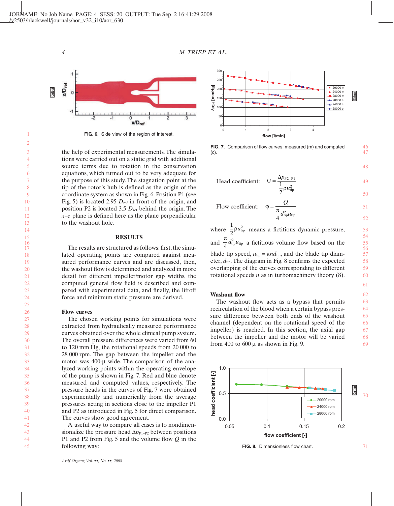

**FIG. 6.** Side view of the region of interest.

the help of experimental measurements. The simulations were carried out on a static grid with additional source terms due to rotation in the conservation equations, which turned out to be very adequate for the purpose of this study. The stagnation point at the tip of the rotor's hub is defined as the origin of the coordinate system as shown in Fig. 6. Position P1 (see Fig. 5) is located 2.95  $D_{ref}$  in front of the origin, and position P2 is located 3.5  $D_{ref}$  behind the origin. The *x*–*z* plane is defined here as the plane perpendicular to the washout hole.

#### **RESULTS**

The results are structured as follows: first, the simulated operating points are compared against measured performance curves and are discussed, then, the washout flow is determined and analyzed in more detail for different impeller/motor gap widths, the computed general flow field is described and compared with experimental data, and finally, the liftoff force and minimum static pressure are derived.

#### **Flow curves**

The chosen working points for simulations were extracted from hydraulically measured performance curves obtained over the whole clinical pump system. The overall pressure differences were varied from 60 to 120 mm Hg, the rotational speeds from 20 000 to 28 000 rpm. The gap between the impeller and the motor was  $400$ - $\mu$  wide. The comparison of the analyzed working points within the operating envelope of the pump is shown in Fig. 7. Red and blue denote measured and computed values, respectively. The pressure heads in the curves of Fig. 7 were obtained experimentally and numerically from the average pressures acting in sections close to the impeller P1 and P2 as introduced in Fig. 5 for direct comparison. The curves show good agreement. **Colour Colour Colour Colour Colour Colour Colour Colour Colour Colour Colour Colour Colour Colour Colour Colour Colour Colour Colour Colour Colour Colour Colour Colour Colour Colour Colour Colour Colour Colour Colour Col** 

A useful way to compare all cases is to nondimensionalize the pressure head  $\Delta p_{\text{P1-P2}}$  between positions P1 and P2 from Fig. 5 and the volume flow *Q* in the following way:





**FIG. 7.** Comparison of flow curves: measured (m) and computed (c).

Head coefficient: 
$$
\Psi = \frac{\Delta p_{P2-P1}}{\frac{1}{2}\rho u_{\text{tip}}^2}
$$

Flow coefficient:  $\Phi = \frac{Q}{\frac{\pi}{4} d_{\text{tip}}^2 u}$  $l_{\rm tip}^2 u_{\rm tip}$ 

where  $\frac{1}{2}$  $\frac{1}{2}\rho u_{\text{tip}}^2$  means a fictitious dynamic pressure, and π  $\frac{\pi}{4} d_{\text{tip}}^2 u_{\text{tip}}$  a fictitious volume flow based on the blade tip speed,  $u_{\text{tip}} = \pi n d_{\text{tip}}$ , and the blade tip diameter,  $d_{\text{tip}}$ . The diagram in Fig. 8 confirms the expected overlapping of the curves corresponding to different rotational speeds *n* as in turbomachinery theory (8).

#### **Washout flow**

The washout flow acts as a bypass that permits recirculation of the blood when a certain bypass pressure difference between both ends of the washout channel (dependent on the rotational speed of the impeller) is reached. In this section, the axial gap between the impeller and the motor will be varied from 400 to 600  $\mu$  as shown in Fig. 9.



**FIG. 8.** Dimensionless flow chart.

48 49

46 47



69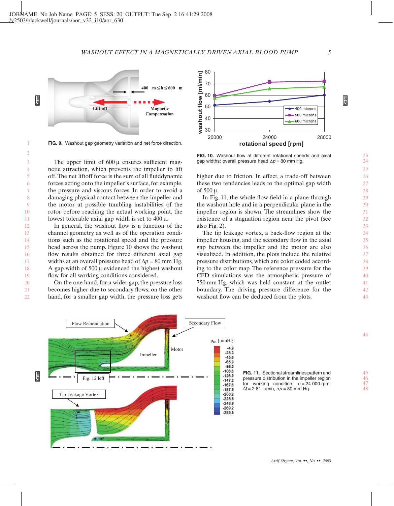## *WASHOUT EFFECT IN A MAGNETICALLY DRIVEN AXIAL BLOOD PUMP 5*



**FIG. 9.** Washout gap geometry variation and net force direction.

1 2

The upper limit of  $600 \mu$  ensures sufficient magnetic attraction, which prevents the impeller to lift off. The net liftoff force is the sum of all fluiddynamic forces acting onto the impeller's surface, for example, the pressure and viscous forces. In order to avoid a damaging physical contact between the impeller and the motor at possible tumbling instabilities of the rotor before reaching the actual working point, the lowest tolerable axial gap width is set to  $400 \mu$ . 3 4 5 6 7 8 9 10 11

In general, the washout flow is a function of the channel geometry as well as of the operation conditions such as the rotational speed and the pressure head across the pump. Figure 10 shows the washout flow results obtained for three different axial gap widths at an overall pressure head of  $\Delta p = 80$  mm Hg. A gap width of  $500 \mu$  evidenced the highest washout flow for all working conditions considered. 12 13 14 15 16 17 18 19

On the one hand, for a wider gap, the pressure loss becomes higher due to secondary flows; on the other hand, for a smaller gap width, the pressure loss gets 20 21 22



**FIG. 10.** Washout flow at different rotational speeds and axial gap widths; overall pressure head  $\Delta p = 80$  mm Hg.

higher due to friction. In effect, a trade-off between these two tendencies leads to the optimal gap width of 500 m.

In Fig. 11, the whole flow field in a plane through the washout hole and in a perpendicular plane in the impeller region is shown. The streamlines show the existence of a stagnation region near the pivot (see also Fig. 2).

The tip leakage vortex, a back-flow region at the impeller housing, and the secondary flow in the axial gap between the impeller and the motor are also visualized. In addition, the plots include the relative pressure distributions, which are color coded according to the color map. The reference pressure for the CFD simulations was the atmospheric pressure of 750 mm Hg, which was held constant at the outlet boundary. The driving pressure difference for the washout flow can be deduced from the plots.



**FIG. 11.** Sectional streamlines pattern and pressure distribution in the impeller region for working condition:  $n = 24000$  rpm,  $Q = 2.81$  L/min,  $\Delta p = 80$  mm Hg.

44

*Artif Organs, Vol. ••, No. ••, 2008*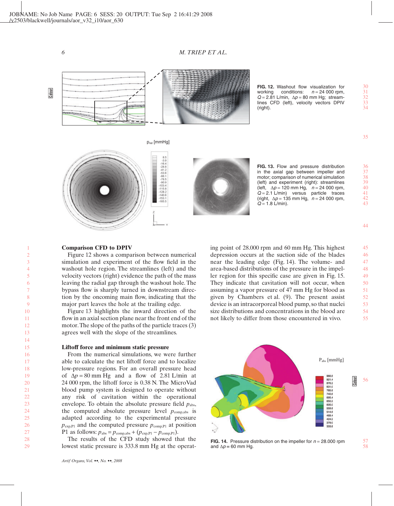

## *6 M. TRIEP ET AL.*



prel [mmHg]



35





**FIG. 13.** Flow and pressure distribution in the axial gap between impeller and motor; comparison of numerical simulation (left) and experiment (right): streamlines (left,  $\Delta p = 120$  mm Hg,  $n = 24 000$  rpm, *Q* = 2.1 L/min) versus particle traces (right,  $\Delta p = 135$  mm Hg,  $n = 24000$  rpm, *Q* = 1.8 L/min).

### **Comparison CFD to DPIV**

Figure 12 shows a comparison between numerical simulation and experiment of the flow field in the washout hole region. The streamlines (left) and the velocity vectors (right) evidence the path of the mass leaving the radial gap through the washout hole. The bypass flow is sharply turned in downstream direction by the oncoming main flow, indicating that the major part leaves the hole at the trailing edge.

Figure 13 highlights the inward direction of the flow in an axial section plane near the front end of the motor.The slope of the paths of the particle traces (3) agrees well with the slope of the streamlines.

### **Liftoff force and minimum static pressure**

From the numerical simulations, we were further able to calculate the net liftoff force and to localize low-pressure regions. For an overall pressure head of  $\Delta p = 80$  mm Hg and a flow of 2.81 L/min at 24 000 rpm, the liftoff force is 0.38 N. The MicroVad blood pump system is designed to operate without any risk of cavitation within the operational envelope. To obtain the absolute pressure field  $p_{\text{abs}}$ , the computed absolute pressure level  $p_{\text{comp,abs}}$  is adapted according to the experimental pressure  $p_{exp,P1}$  and the computed pressure  $p_{comp,P1}$  at position P1 as follows:  $p_{\text{abs}} = p_{\text{comp,abs}} + (p_{\text{exp,P1}} - p_{\text{comp,P1}}).$ 

The results of the CFD study showed that the lowest static pressure is 333.8 mm Hg at the operating point of 28.000 rpm and 60 mm Hg. This highest depression occurs at the suction side of the blades near the leading edge (Fig. 14). The volume- and area-based distributions of the pressure in the impeller region for this specific case are given in Fig. 15. They indicate that cavitation will not occur, when assuming a vapor pressure of 47 mm Hg for blood as given by Chambers et al. (9). The present assist device is an intracorporeal blood pump, so that nuclei size distributions and concentrations in the blood are not likely to differ from those encountered in vivo. 45 46 47 48 49 50 51 52 53 54 55



**FIG. 14.** Pressure distribution on the impeller for *n* = 28.000 rpm and  $\Delta p = 60$  mm Hg.

57 58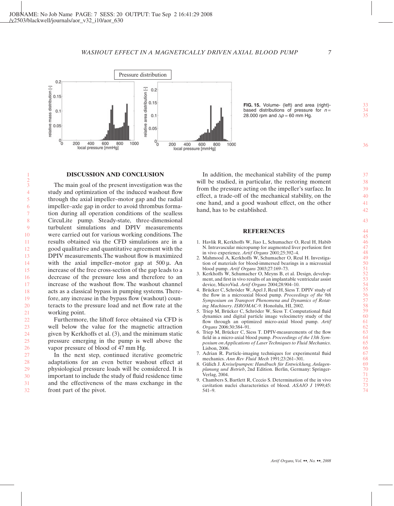## *WASHOUT EFFECT IN A MAGNETICALLY DRIVEN AXIAL BLOOD PUMP 7*



**FIG. 15.** Volume- (left) and area (right) based distributions of pressure for *n* = 28.000 rpm and  $\Delta p = 60$  mm Hg.

33  $rac{55}{34}$ 35

## 36

## **DISCUSSION AND CONCLUSION**

1 2 3

8 9

11 12 13

17

21

The main goal of the present investigation was the study and optimization of the induced washout flow through the axial impeller–motor gap and the radial impeller–axle gap in order to avoid thrombus formation during all operation conditions of the sealless CircuLite pump. Steady-state, three-dimensional turbulent simulations and DPIV measurements were carried out for various working conditions. The results obtained via the CFD simulations are in a good qualitative and quantitative agreement with the DPIV measurements.The washout flow is maximized with the axial impeller–motor gap at  $500 \mu$ . An increase of the free cross-section of the gap leads to a decrease of the pressure loss and therefore to an increase of the washout flow. The washout channel acts as a classical bypass in pumping systems. Therefore, any increase in the bypass flow (washout) counteracts to the pressure load and net flow rate at the working point. 4 5 6 7 10 14 15 16 18 19 20

Furthermore, the liftoff force obtained via CFD is well below the value for the magnetic attraction given by Kerkhoffs et al. (3), and the minimum static pressure emerging in the pump is well above the vapor pressure of blood of 47 mm Hg. 22 23 24 25 26

In the next step, continued iterative geometric adaptations for an even better washout effect at physiological pressure loads will be considered. It is important to include the study of fluid residence time and the effectiveness of the mass exchange in the front part of the pivot. 27 28 29 30 31 32

In addition, the mechanical stability of the pump will be studied, in particular, the restoring moment from the pressure acting on the impeller's surface. In effect, a trade-off of the mechanical stability, on the one hand, and a good washout effect, on the other hand, has to be established.

#### **REFERENCES**

- 1. Havlik R, Kerkhoffs W, Jiao L, Schumacher O, Reul H, Habib N. Intravascular micropump for augmented liver perfusion: first in vivo experience. *Artif Organs* 2001;25:392–4.
- 2. Mahmood A, Kerkhoffs W, Schumacher O, Reul H. Investigation of materials for blood-immersed bearings in a microaxial blood pump. *Artif Organs* 2003;27:169–73.
- 3. Kerkhoffs W, Schumacher O, Meyns B, et al. Design, development, and first in vivo results of an implantable ventricular assist device, MicroVad. *Artif Organs* 2004;28:904–10.
- 4. Brücker C, Schröder W, Apel J, Reul H, Siess T. DPIV study of the flow in a microaxial blood pump. *Proceedings of the 9th Symposium on Transport Phenomena and Dynamics of Rotating Machinery*. *ISROMAC-9.* Honolulu, HI, 2002.
- 5. Triep M, Brücker C, Schröder W, Siess T. Computational fluid dynamics and digital particle image velocimetry study of the flow through an optimized micro-axial blood pump. *Artif Organs* 2006:30:384–91.
- 6. Triep M, Brücker C, Siess T. DPIV-measurements of the flow field in a micro-axial blood pump. *Proceedings of the 13th Symposium on Applications of Laser Techniques to Fluid Mechanics*. Lisbon, 2006.
- 7. Adrian R. Particle-imaging techniques for experimental fluid mechanics. *Ann Rev Fluid Mech* 1991;23:261–301.
- 8. Gülich J. *Kreiselpumpen: Handbuch für Entwicklung, Anlagenplanung und Betrieb*, 2nd Edition. Berlin, Germany: Springer-Verlag, 2004.
- 9. Chambers S, Bartlett R, Ceccio S. Determination of the in vivo cavitation nuclei characteristics of blood. *ASAIO J* 1999;45: 541–9.